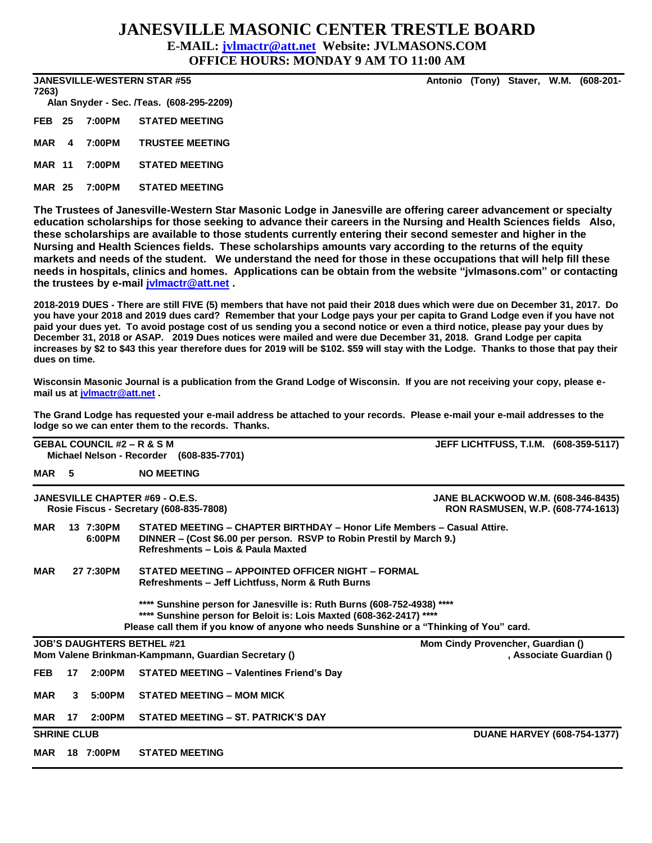## **JANESVILLE MASONIC CENTER TRESTLE BOARD**

### **E-MAIL: [jvlmactr@att.net](mailto:jvlmactr@att.net) Website: JVLMASONS.COM**

**OFFICE HOURS: MONDAY 9 AM TO 11:00 AM**

**JANESVILLE-WESTERN STAR #55 Antonio (Tony) Staver, W.M. (608-201-**

**7263) Alan Snyder - Sec. /Teas. (608-295-2209) FEB 25 7:00PM STATED MEETING MAR 4 7:00PM TRUSTEE MEETING**

**MAR 11 7:00PM STATED MEETING**

**MAR 25 7:00PM STATED MEETING**

**The Trustees of Janesville-Western Star Masonic Lodge in Janesville are offering career advancement or specialty education scholarships for those seeking to advance their careers in the Nursing and Health Sciences fields Also, these scholarships are available to those students currently entering their second semester and higher in the Nursing and Health Sciences fields. These scholarships amounts vary according to the returns of the equity markets and needs of the student. We understand the need for those in these occupations that will help fill these needs in hospitals, clinics and homes. Applications can be obtain from the website "jvlmasons.com" or contacting the trustees by e-mail [jvlmactr@att.net](mailto:jvlmactr@att.net) .**

**2018-2019 DUES - There are still FIVE (5) members that have not paid their 2018 dues which were due on December 31, 2017. Do you have your 2018 and 2019 dues card? Remember that your Lodge pays your per capita to Grand Lodge even if you have not paid your dues yet. To avoid postage cost of us sending you a second notice or even a third notice, please pay your dues by December 31, 2018 or ASAP. 2019 Dues notices were mailed and were due December 31, 2018. Grand Lodge per capita increases by \$2 to \$43 this year therefore dues for 2019 will be \$102. \$59 will stay with the Lodge. Thanks to those that pay their dues on time.**

**Wisconsin Masonic Journal is a publication from the Grand Lodge of Wisconsin. If you are not receiving your copy, please email us at [jvlmactr@att.net](mailto:jvlmactr@att.net) .**

**The Grand Lodge has requested your e-mail address be attached to your records. Please e-mail your e-mail addresses to the lodge so we can enter them to the records. Thanks.**

|                    |    | <b>GEBAL COUNCIL #2 – R &amp; S M</b> | Michael Nelson - Recorder (608-835-7701)                                                                                                                                                                                                | JEFF LICHTFUSS, T.I.M. (608-359-5117)                                          |  |  |  |  |  |
|--------------------|----|---------------------------------------|-----------------------------------------------------------------------------------------------------------------------------------------------------------------------------------------------------------------------------------------|--------------------------------------------------------------------------------|--|--|--|--|--|
| MAR <sub>5</sub>   |    |                                       | <b>NO MEETING</b>                                                                                                                                                                                                                       |                                                                                |  |  |  |  |  |
|                    |    |                                       | <b>JANESVILLE CHAPTER #69 - O.E.S.</b><br>Rosie Fiscus - Secretary (608-835-7808)                                                                                                                                                       | <b>JANE BLACKWOOD W.M. (608-346-8435)</b><br>RON RASMUSEN, W.P. (608-774-1613) |  |  |  |  |  |
| <b>MAR</b>         |    | 13 7:30PM<br>6:00PM                   | STATED MEETING - CHAPTER BIRTHDAY - Honor Life Members - Casual Attire.<br>DINNER – (Cost \$6.00 per person. RSVP to Robin Prestil by March 9.)<br>Refreshments - Lois & Paula Maxted                                                   |                                                                                |  |  |  |  |  |
| <b>MAR</b>         |    | 27 7:30PM                             | STATED MEETING - APPOINTED OFFICER NIGHT - FORMAL<br>Refreshments – Jeff Lichtfuss, Norm & Ruth Burns                                                                                                                                   |                                                                                |  |  |  |  |  |
|                    |    |                                       | **** Sunshine person for Janesville is: Ruth Burns (608-752-4938) ****<br>**** Sunshine person for Beloit is: Lois Maxted (608-362-2417) ****<br>Please call them if you know of anyone who needs Sunshine or a "Thinking of You" card. |                                                                                |  |  |  |  |  |
|                    |    |                                       | <b>JOB'S DAUGHTERS BETHEL #21</b>                                                                                                                                                                                                       | Mom Cindy Provencher, Guardian ()                                              |  |  |  |  |  |
|                    |    |                                       | Mom Valene Brinkman-Kampmann, Guardian Secretary ()                                                                                                                                                                                     | , Associate Guardian ()                                                        |  |  |  |  |  |
| <b>FEB</b>         | 17 | 2:00PM                                | <b>STATED MEETING - Valentines Friend's Day</b>                                                                                                                                                                                         |                                                                                |  |  |  |  |  |
| <b>MAR</b>         | 3  | 5:00PM                                | <b>STATED MEETING - MOM MICK</b>                                                                                                                                                                                                        |                                                                                |  |  |  |  |  |
| MAR                | 17 | 2:00PM                                | STATED MEETING - ST. PATRICK'S DAY                                                                                                                                                                                                      |                                                                                |  |  |  |  |  |
| <b>SHRINE CLUB</b> |    |                                       |                                                                                                                                                                                                                                         | <b>DUANE HARVEY (608-754-1377)</b>                                             |  |  |  |  |  |
| <b>MAR</b>         |    | 18 7:00PM                             | <b>STATED MEETING</b>                                                                                                                                                                                                                   |                                                                                |  |  |  |  |  |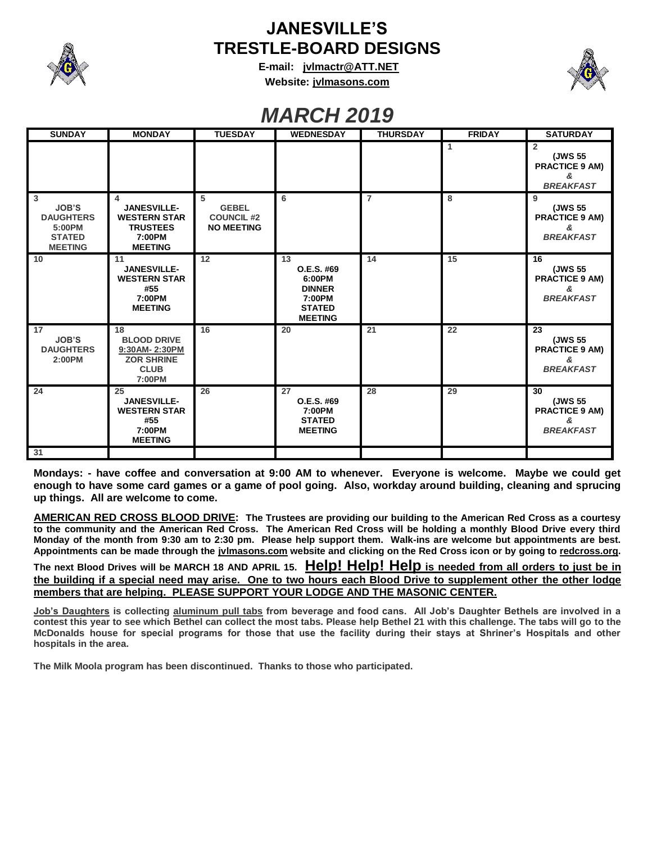

## **JANESVILLE'S TRESTLE-BOARD DESIGNS**

**E-mail: [jvlmactr@ATT.NET](mailto:jvlmactr@ATT.NET) Website: jvlmasons.com**



# *MARCH 2019*

| <b>SUNDAY</b>                                                                                   | <b>MONDAY</b>                                                                                 | <b>TUESDAY</b>                                              | <b>WEDNESDAY</b>                                                                         | <b>THURSDAY</b> | <b>FRIDAY</b> | <b>SATURDAY</b>                                                 |
|-------------------------------------------------------------------------------------------------|-----------------------------------------------------------------------------------------------|-------------------------------------------------------------|------------------------------------------------------------------------------------------|-----------------|---------------|-----------------------------------------------------------------|
|                                                                                                 |                                                                                               |                                                             |                                                                                          |                 | 1             | 2<br>(JWS 55<br><b>PRACTICE 9 AM)</b><br>&<br><b>BREAKFAST</b>  |
| $\overline{3}$<br><b>JOB'S</b><br><b>DAUGHTERS</b><br>5:00PM<br><b>STATED</b><br><b>MEETING</b> | 4<br><b>JANESVILLE-</b><br><b>WESTERN STAR</b><br><b>TRUSTEES</b><br>7:00PM<br><b>MEETING</b> | 5<br><b>GEBEL</b><br><b>COUNCIL #2</b><br><b>NO MEETING</b> | 6                                                                                        | $\overline{7}$  | 8             | 9<br>(JWS 55<br><b>PRACTICE 9 AM)</b><br>&<br><b>BREAKFAST</b>  |
| 10                                                                                              | 11<br><b>JANESVILLE-</b><br><b>WESTERN STAR</b><br>#55<br>7:00PM<br><b>MEETING</b>            | 12                                                          | 13<br>O.E.S. #69<br>6:00PM<br><b>DINNER</b><br>7:00PM<br><b>STATED</b><br><b>MEETING</b> | 14              | 15            | 16<br>(JWS 55<br><b>PRACTICE 9 AM)</b><br>&<br><b>BREAKFAST</b> |
| 17<br><b>JOB'S</b><br><b>DAUGHTERS</b><br>2:00PM                                                | 18<br><b>BLOOD DRIVE</b><br>9:30AM-2:30PM<br><b>ZOR SHRINE</b><br><b>CLUB</b><br>7:00PM       | 16                                                          | 20                                                                                       | 21              | 22            | 23<br>(JWS 55<br><b>PRACTICE 9 AM)</b><br>&<br><b>BREAKFAST</b> |
| 24                                                                                              | 25<br><b>JANESVILLE-</b><br><b>WESTERN STAR</b><br>#55<br>7:00PM<br><b>MEETING</b>            | 26                                                          | 27<br>O.E.S. #69<br>7:00PM<br><b>STATED</b><br><b>MEETING</b>                            | 28              | 29            | 30<br>(JWS 55<br><b>PRACTICE 9 AM)</b><br>&<br><b>BREAKFAST</b> |
| 31                                                                                              |                                                                                               |                                                             |                                                                                          |                 |               |                                                                 |

**Mondays: - have coffee and conversation at 9:00 AM to whenever. Everyone is welcome. Maybe we could get enough to have some card games or a game of pool going. Also, workday around building, cleaning and sprucing up things. All are welcome to come.**

**AMERICAN RED CROSS BLOOD DRIVE: The Trustees are providing our building to the American Red Cross as a courtesy to the community and the American Red Cross. The American Red Cross will be holding a monthly Blood Drive every third Monday of the month from 9:30 am to 2:30 pm. Please help support them. Walk-ins are welcome but appointments are best. Appointments can be made through the jvlmasons.com website and clicking on the Red Cross icon or by going to redcross.org.** 

**The next Blood Drives will be MARCH 18 AND APRIL 15. Help! Help! Help is needed from all orders to just be in the building if a special need may arise. One to two hours each Blood Drive to supplement other the other lodge members that are helping. PLEASE SUPPORT YOUR LODGE AND THE MASONIC CENTER.**

**Job's Daughters is collecting aluminum pull tabs from beverage and food cans. All Job's Daughter Bethels are involved in a contest this year to see which Bethel can collect the most tabs. Please help Bethel 21 with this challenge. The tabs will go to the McDonalds house for special programs for those that use the facility during their stays at Shriner's Hospitals and other hospitals in the area.**

**The Milk Moola program has been discontinued. Thanks to those who participated.**